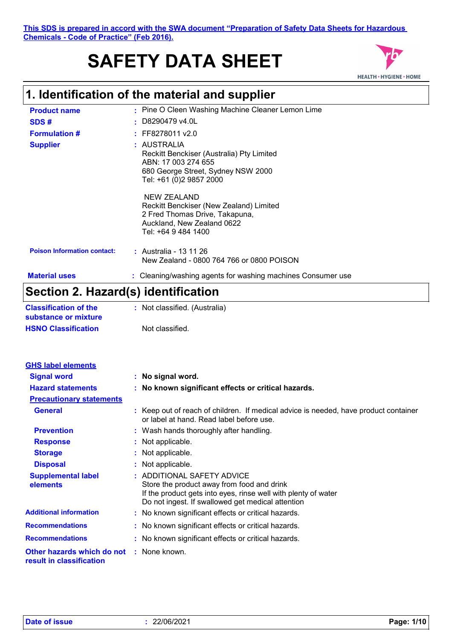#### **This SDS is prepared in accord with the SWA document "Preparation of Safety Data Sheets for Hazardous Chemicals - Code of Practice" (Feb 2016).**

# **SAFETY DATA SHEET**



# **1. Identification of the material and supplier**

| $\mathsf{C}_{\mathsf{A}}$ , $\mathsf{A}$ , $\mathsf{A}$ , $\mathsf{B}_{\mathsf{A}}$ , $\mathsf{B}_{\mathsf{A}}$ , $\mathsf{B}_{\mathsf{A}}$ , $\mathsf{B}_{\mathsf{A}}$ , $\mathsf{B}_{\mathsf{A}}$ , $\mathsf{B}_{\mathsf{A}}$ , $\mathsf{B}_{\mathsf{A}}$ , $\mathsf{B}_{\mathsf{A}}$ , $\mathsf{B}_{\mathsf{A}}$ , $\mathsf{B}_{\mathsf{A}}$ , $\mathsf{B}_{\mathsf{A}}$ , $\mathsf{B}_{\math$ |                                                                                                                                                  |
|---------------------------------------------------------------------------------------------------------------------------------------------------------------------------------------------------------------------------------------------------------------------------------------------------------------------------------------------------------------------------------------------------|--------------------------------------------------------------------------------------------------------------------------------------------------|
| <b>Material uses</b>                                                                                                                                                                                                                                                                                                                                                                              | : Cleaning/washing agents for washing machines Consumer use                                                                                      |
| <b>Poison Information contact:</b>                                                                                                                                                                                                                                                                                                                                                                | : Australia - 13 11 26<br>New Zealand - 0800 764 766 or 0800 POISON                                                                              |
|                                                                                                                                                                                                                                                                                                                                                                                                   | NEW ZEALAND<br>Reckitt Benckiser (New Zealand) Limited<br>2 Fred Thomas Drive, Takapuna,<br>Auckland, New Zealand 0622<br>Tel: +64 9 484 1400    |
| <b>Supplier</b>                                                                                                                                                                                                                                                                                                                                                                                   | : AUSTRALIA<br>Reckitt Benckiser (Australia) Pty Limited<br>ABN: 17 003 274 655<br>680 George Street, Sydney NSW 2000<br>Tel: +61 (0)2 9857 2000 |
| <b>Formulation #</b>                                                                                                                                                                                                                                                                                                                                                                              | $:$ FF8278011 v2.0                                                                                                                               |
| SDS#                                                                                                                                                                                                                                                                                                                                                                                              | $\pm$ D8290479 v4.0L                                                                                                                             |
| <b>Product name</b>                                                                                                                                                                                                                                                                                                                                                                               | : Pine O Cleen Washing Machine Cleaner Lemon Lime                                                                                                |

### **Section 2. Hazard(s) identification**

| <b>Classification of the</b><br>substance or mixture | : Not classified. (Australia) |
|------------------------------------------------------|-------------------------------|
| <b>HSNO Classification</b>                           | Not classified.               |

| <b>GHS label elements</b>                              |                                                                                                                                                                                                 |
|--------------------------------------------------------|-------------------------------------------------------------------------------------------------------------------------------------------------------------------------------------------------|
| <b>Signal word</b>                                     | : No signal word.                                                                                                                                                                               |
| <b>Hazard statements</b>                               | : No known significant effects or critical hazards.                                                                                                                                             |
| <b>Precautionary statements</b>                        |                                                                                                                                                                                                 |
| <b>General</b>                                         | : Keep out of reach of children. If medical advice is needed, have product container<br>or label at hand. Read label before use.                                                                |
| <b>Prevention</b>                                      | : Wash hands thoroughly after handling.                                                                                                                                                         |
| <b>Response</b>                                        | : Not applicable.                                                                                                                                                                               |
| <b>Storage</b>                                         | : Not applicable.                                                                                                                                                                               |
| <b>Disposal</b>                                        | : Not applicable.                                                                                                                                                                               |
| <b>Supplemental label</b><br>elements                  | : ADDITIONAL SAFETY ADVICE<br>Store the product away from food and drink<br>If the product gets into eyes, rinse well with plenty of water<br>Do not ingest. If swallowed get medical attention |
| <b>Additional information</b>                          | : No known significant effects or critical hazards.                                                                                                                                             |
| <b>Recommendations</b>                                 | : No known significant effects or critical hazards.                                                                                                                                             |
| <b>Recommendations</b>                                 | : No known significant effects or critical hazards.                                                                                                                                             |
| Other hazards which do not<br>result in classification | : None known.                                                                                                                                                                                   |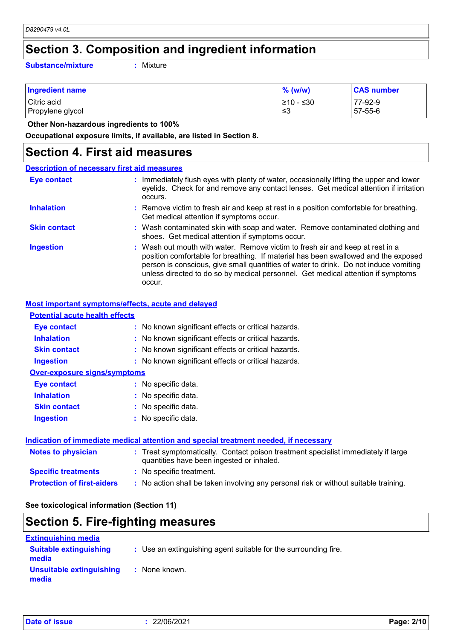### **Section 3. Composition and ingredient information**

**Substance/mixture :**

Mixture

| <b>Ingredient name</b> | $\%$ (w/w)      | <b>CAS number</b> |
|------------------------|-----------------|-------------------|
| Citric acid            | $\geq 10 - 530$ | 77-92-9           |
| Propylene glycol       | '≤3             | 57-55-6           |

 **Other Non-hazardous ingredients to 100%**

**Occupational exposure limits, if available, are listed in Section 8.**

#### **Section 4. First aid measures**

#### : Wash out mouth with water. Remove victim to fresh air and keep at rest in a position comfortable for breathing. If material has been swallowed and the exposed person is conscious, give small quantities of water to drink. Do not induce vomiting unless directed to do so by medical personnel. Get medical attention if symptoms occur. **:** Immediately flush eyes with plenty of water, occasionally lifting the upper and lower eyelids. Check for and remove any contact lenses. Get medical attention if irritation occurs. Wash contaminated skin with soap and water. Remove contaminated clothing and **:** shoes. Get medical attention if symptoms occur. Remove victim to fresh air and keep at rest in a position comfortable for breathing. **:** Get medical attention if symptoms occur. **Eye contact Skin contact Inhalation Ingestion : Description of necessary first aid measures**

#### **Most important symptoms/effects, acute and delayed**

| <b>Potential acute health effects</b> |                                                     |
|---------------------------------------|-----------------------------------------------------|
| Eye contact                           | : No known significant effects or critical hazards. |
| <b>Inhalation</b>                     | : No known significant effects or critical hazards. |
| <b>Skin contact</b>                   | : No known significant effects or critical hazards. |
| <b>Ingestion</b>                      | : No known significant effects or critical hazards. |
| Over-exposure signs/symptoms          |                                                     |
| <b>Eve contact</b>                    | : No specific data.                                 |
| <b>Inhalation</b>                     | : No specific data.                                 |
| <b>Skin contact</b>                   | : No specific data.                                 |
| <b>Ingestion</b>                      | : No specific data.                                 |
|                                       |                                                     |
|                                       |                                                     |

#### **Indication of immediate medical attention and special treatment needed, if necessary**

| <b>Notes to physician</b>         | : Treat symptomatically. Contact poison treatment specialist immediately if large<br>quantities have been ingested or inhaled. |
|-----------------------------------|--------------------------------------------------------------------------------------------------------------------------------|
| <b>Specific treatments</b>        | : No specific treatment.                                                                                                       |
| <b>Protection of first-aiders</b> | : No action shall be taken involving any personal risk or without suitable training.                                           |

**See toxicological information (Section 11)**

#### **Section 5. Fire-fighting measures**

| <b>Extinguishing media</b>             |                                                                 |
|----------------------------------------|-----------------------------------------------------------------|
| <b>Suitable extinguishing</b><br>media | : Use an extinguishing agent suitable for the surrounding fire. |
| Unsuitable extinguishing<br>media      | : None known.                                                   |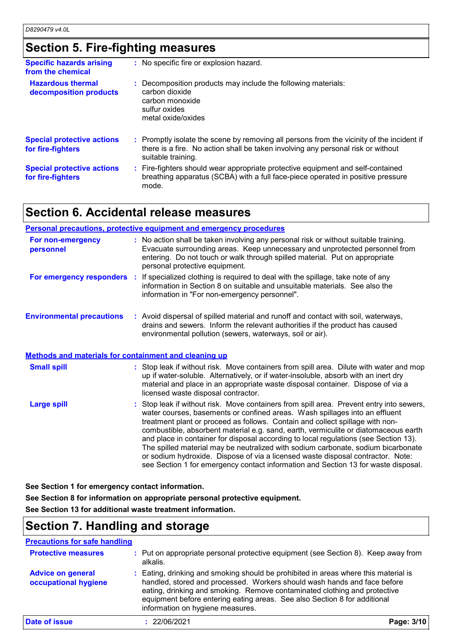### **Section 5. Fire-fighting measures**

| <b>Specific hazards arising</b><br>from the chemical   | : No specific fire or explosion hazard.                                                                                                                                                             |
|--------------------------------------------------------|-----------------------------------------------------------------------------------------------------------------------------------------------------------------------------------------------------|
| <b>Hazardous thermal</b><br>decomposition products     | Decomposition products may include the following materials:<br>carbon dioxide<br>carbon monoxide<br>sulfur oxides<br>metal oxide/oxides                                                             |
| <b>Special protective actions</b><br>for fire-fighters | : Promptly isolate the scene by removing all persons from the vicinity of the incident if<br>there is a fire. No action shall be taken involving any personal risk or without<br>suitable training. |
| <b>Special protective actions</b><br>for fire-fighters | : Fire-fighters should wear appropriate protective equipment and self-contained<br>breathing apparatus (SCBA) with a full face-piece operated in positive pressure<br>mode.                         |

### **Section 6. Accidental release measures**

|                                                              | <b>Personal precautions, protective equipment and emergency procedures</b>                                                                                                                                                                                                                                                                                                                                                                                                                                                                                                                                                                                                                            |
|--------------------------------------------------------------|-------------------------------------------------------------------------------------------------------------------------------------------------------------------------------------------------------------------------------------------------------------------------------------------------------------------------------------------------------------------------------------------------------------------------------------------------------------------------------------------------------------------------------------------------------------------------------------------------------------------------------------------------------------------------------------------------------|
| For non-emergency<br>personnel                               | : No action shall be taken involving any personal risk or without suitable training.<br>Evacuate surrounding areas. Keep unnecessary and unprotected personnel from<br>entering. Do not touch or walk through spilled material. Put on appropriate<br>personal protective equipment.                                                                                                                                                                                                                                                                                                                                                                                                                  |
|                                                              | <b>For emergency responders</b> : If specialized clothing is required to deal with the spillage, take note of any<br>information in Section 8 on suitable and unsuitable materials. See also the<br>information in "For non-emergency personnel".                                                                                                                                                                                                                                                                                                                                                                                                                                                     |
| <b>Environmental precautions</b>                             | : Avoid dispersal of spilled material and runoff and contact with soil, waterways,<br>drains and sewers. Inform the relevant authorities if the product has caused<br>environmental pollution (sewers, waterways, soil or air).                                                                                                                                                                                                                                                                                                                                                                                                                                                                       |
| <b>Methods and materials for containment and cleaning up</b> |                                                                                                                                                                                                                                                                                                                                                                                                                                                                                                                                                                                                                                                                                                       |
| <b>Small spill</b>                                           | : Stop leak if without risk. Move containers from spill area. Dilute with water and mop<br>up if water-soluble. Alternatively, or if water-insoluble, absorb with an inert dry<br>material and place in an appropriate waste disposal container. Dispose of via a<br>licensed waste disposal contractor.                                                                                                                                                                                                                                                                                                                                                                                              |
| <b>Large spill</b>                                           | : Stop leak if without risk. Move containers from spill area. Prevent entry into sewers,<br>water courses, basements or confined areas. Wash spillages into an effluent<br>treatment plant or proceed as follows. Contain and collect spillage with non-<br>combustible, absorbent material e.g. sand, earth, vermiculite or diatomaceous earth<br>and place in container for disposal according to local regulations (see Section 13).<br>The spilled material may be neutralized with sodium carbonate, sodium bicarbonate<br>or sodium hydroxide. Dispose of via a licensed waste disposal contractor. Note:<br>see Section 1 for emergency contact information and Section 13 for waste disposal. |

**See Section 1 for emergency contact information.**

**See Section 8 for information on appropriate personal protective equipment.**

**See Section 13 for additional waste treatment information.**

### **Section 7. Handling and storage**

**Precautions for safe handling**

| <b>Protective measures</b>                       | : Put on appropriate personal protective equipment (see Section 8). Keep away from<br>alkalis.                                                                                                                                                                                                                                                                |            |
|--------------------------------------------------|---------------------------------------------------------------------------------------------------------------------------------------------------------------------------------------------------------------------------------------------------------------------------------------------------------------------------------------------------------------|------------|
| <b>Advice on general</b><br>occupational hygiene | : Eating, drinking and smoking should be prohibited in areas where this material is<br>handled, stored and processed. Workers should wash hands and face before<br>eating, drinking and smoking. Remove contaminated clothing and protective<br>equipment before entering eating areas. See also Section 8 for additional<br>information on hygiene measures. |            |
| Date of issue                                    | : 22/06/2021                                                                                                                                                                                                                                                                                                                                                  | Page: 3/10 |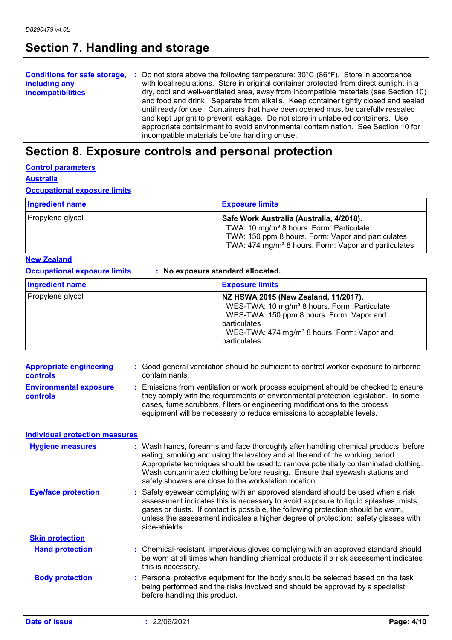### **Section 7. Handling and storage**

|                          | <b>Conditions for safe storage, :</b> Do not store above the following temperature: $30^{\circ}$ C (86 $^{\circ}$ F). Store in accordance |
|--------------------------|-------------------------------------------------------------------------------------------------------------------------------------------|
| including any            | with local regulations. Store in original container protected from direct sunlight in a                                                   |
| <b>incompatibilities</b> | dry, cool and well-ventilated area, away from incompatible materials (see Section 10)                                                     |
|                          | and food and drink. Separate from alkalis. Keep container tightly closed and sealed                                                       |
|                          | until ready for use. Containers that have been opened must be carefully resealed                                                          |
|                          | and kept upright to prevent leakage. Do not store in unlabeled containers. Use                                                            |
|                          | appropriate containment to avoid environmental contamination. See Section 10 for                                                          |
|                          | incompatible materials before handling or use.                                                                                            |

### **Section 8. Exposure controls and personal protection**

#### **Control parameters**

**Australia**

#### **Occupational exposure limits**

| <b>Ingredient name</b> | <b>Exposure limits</b>                                                                                                                                                                                                     |
|------------------------|----------------------------------------------------------------------------------------------------------------------------------------------------------------------------------------------------------------------------|
| Propylene glycol       | Safe Work Australia (Australia, 4/2018).<br>TWA: 10 mg/m <sup>3</sup> 8 hours. Form: Particulate<br>TWA: 150 ppm 8 hours. Form: Vapor and particulates<br>TWA: 474 mg/m <sup>3</sup> 8 hours. Form: Vapor and particulates |

#### **New Zealand**

**Occupational exposure limits : No exposure standard allocated.**

| Ingredient name  | <b>Exposure limits</b>                                                                                                                                                                                                                   |
|------------------|------------------------------------------------------------------------------------------------------------------------------------------------------------------------------------------------------------------------------------------|
| Propylene glycol | NZ HSWA 2015 (New Zealand, 11/2017).<br>WES-TWA: 10 mg/m <sup>3</sup> 8 hours. Form: Particulate<br>WES-TWA: 150 ppm 8 hours. Form: Vapor and<br>particulates<br>WES-TWA: 474 mg/m <sup>3</sup> 8 hours. Form: Vapor and<br>particulates |

| <b>Appropriate engineering</b><br><b>controls</b> | : Good general ventilation should be sufficient to control worker exposure to airborne<br>contaminants.                                                                                                                                                                                                                                                                                           |
|---------------------------------------------------|---------------------------------------------------------------------------------------------------------------------------------------------------------------------------------------------------------------------------------------------------------------------------------------------------------------------------------------------------------------------------------------------------|
| <b>Environmental exposure</b><br><b>controls</b>  | : Emissions from ventilation or work process equipment should be checked to ensure<br>they comply with the requirements of environmental protection legislation. In some<br>cases, fume scrubbers, filters or engineering modifications to the process<br>equipment will be necessary to reduce emissions to acceptable levels.                                                                   |
| <b>Individual protection measures</b>             |                                                                                                                                                                                                                                                                                                                                                                                                   |
| <b>Hygiene measures</b>                           | : Wash hands, forearms and face thoroughly after handling chemical products, before<br>eating, smoking and using the lavatory and at the end of the working period.<br>Appropriate techniques should be used to remove potentially contaminated clothing.<br>Wash contaminated clothing before reusing. Ensure that eyewash stations and<br>safety showers are close to the workstation location. |
| <b>Eye/face protection</b>                        | : Safety eyewear complying with an approved standard should be used when a risk<br>assessment indicates this is necessary to avoid exposure to liquid splashes, mists,<br>gases or dusts. If contact is possible, the following protection should be worn,<br>unless the assessment indicates a higher degree of protection: safety glasses with<br>side-shields.                                 |
| <b>Skin protection</b>                            |                                                                                                                                                                                                                                                                                                                                                                                                   |
| <b>Hand protection</b>                            | : Chemical-resistant, impervious gloves complying with an approved standard should<br>be worn at all times when handling chemical products if a risk assessment indicates<br>this is necessary.                                                                                                                                                                                                   |
| <b>Body protection</b>                            | : Personal protective equipment for the body should be selected based on the task<br>being performed and the risks involved and should be approved by a specialist<br>before handling this product.                                                                                                                                                                                               |

**Date of issue :** 22/06/2021 **Page: 4/10**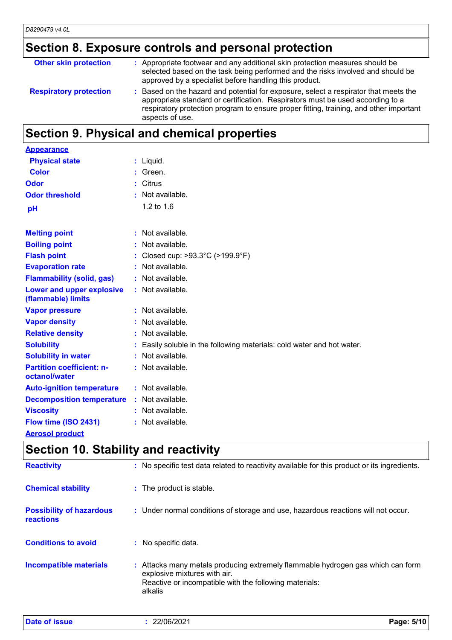### **Section 8. Exposure controls and personal protection**

| <b>Other skin protection</b>  | : Appropriate footwear and any additional skin protection measures should be<br>selected based on the task being performed and the risks involved and should be<br>approved by a specialist before handling this product.                                                         |
|-------------------------------|-----------------------------------------------------------------------------------------------------------------------------------------------------------------------------------------------------------------------------------------------------------------------------------|
| <b>Respiratory protection</b> | Based on the hazard and potential for exposure, select a respirator that meets the<br>appropriate standard or certification. Respirators must be used according to a<br>respiratory protection program to ensure proper fitting, training, and other important<br>aspects of use. |

### **Section 9. Physical and chemical properties**

| <b>Appearance</b>                                 |    |                                                                      |
|---------------------------------------------------|----|----------------------------------------------------------------------|
| <b>Physical state</b>                             |    | : Liquid.                                                            |
| Color                                             |    | Green.                                                               |
| Odor                                              | t. | Citrus                                                               |
| <b>Odor threshold</b>                             | ٠  | Not available.                                                       |
| pH                                                |    | 1.2 to 1.6                                                           |
| <b>Melting point</b>                              |    | : Not available.                                                     |
| <b>Boiling point</b>                              |    | Not available.                                                       |
| <b>Flash point</b>                                |    | Closed cup: >93.3°C (>199.9°F)                                       |
| <b>Evaporation rate</b>                           |    | : Not available.                                                     |
| <b>Flammability (solid, gas)</b>                  |    | : Not available.                                                     |
| Lower and upper explosive<br>(flammable) limits   |    | : Not available.                                                     |
| <b>Vapor pressure</b>                             |    | : Not available.                                                     |
| <b>Vapor density</b>                              |    | : Not available.                                                     |
| <b>Relative density</b>                           |    | Not available.                                                       |
| <b>Solubility</b>                                 |    | Easily soluble in the following materials: cold water and hot water. |
| <b>Solubility in water</b>                        | ÷. | Not available.                                                       |
| <b>Partition coefficient: n-</b><br>octanol/water |    | : Not available.                                                     |
| <b>Auto-ignition temperature</b>                  |    | $:$ Not available.                                                   |
| <b>Decomposition temperature</b>                  |    | : Not available.                                                     |
| <b>Viscosity</b>                                  |    | : Not available.                                                     |
| Flow time (ISO 2431)                              |    | : Not available.                                                     |
| <b>Aerosol product</b>                            |    |                                                                      |

# **Section 10. Stability and reactivity**

| <b>Reactivity</b>                                   | : No specific test data related to reactivity available for this product or its ingredients.                                                                                         |
|-----------------------------------------------------|--------------------------------------------------------------------------------------------------------------------------------------------------------------------------------------|
| <b>Chemical stability</b>                           | : The product is stable.                                                                                                                                                             |
| <b>Possibility of hazardous</b><br><b>reactions</b> | : Under normal conditions of storage and use, hazardous reactions will not occur.                                                                                                    |
| <b>Conditions to avoid</b>                          | : No specific data.                                                                                                                                                                  |
| Incompatible materials                              | : Attacks many metals producing extremely flammable hydrogen gas which can form<br>explosive mixtures with air.<br>Reactive or incompatible with the following materials:<br>alkalis |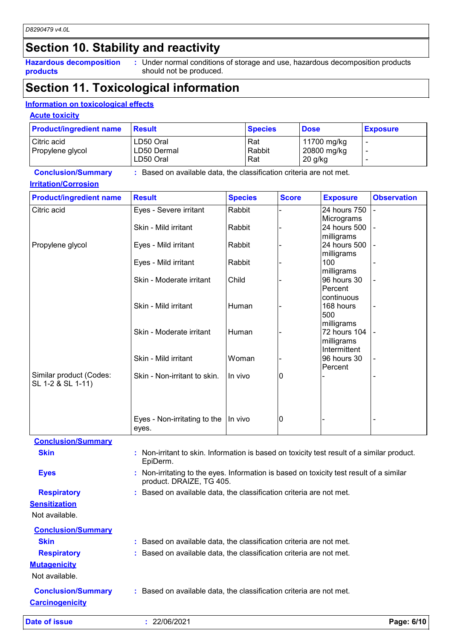### **Section 10. Stability and reactivity**

**Hazardous decomposition products**

**:** Under normal conditions of storage and use, hazardous decomposition products should not be produced.

### **Section 11. Toxicological information**

#### **Information on toxicological effects**

#### **Acute toxicity**

| <b>Product/ingredient name</b> | Result                   | <b>Species</b> | <b>Dose</b>              | <b>Exposure</b>          |
|--------------------------------|--------------------------|----------------|--------------------------|--------------------------|
| Citric acid                    | LD50 Oral                | Rat            | 11700 mg/kg              | $\overline{\phantom{a}}$ |
| Propylene glycol               | LD50 Dermal<br>LD50 Oral | Rabbit<br>Rat  | 20800 mg/kg<br>$20$ g/kg |                          |

#### **Conclusion/Summary :** Based on available data, the classification criteria are not met. **Irritation/Corrosion**

| <b>Product/ingredient name</b>               | <b>Result</b>                                                                              | <b>Species</b> | <b>Score</b> | <b>Exposure</b>                          | <b>Observation</b> |
|----------------------------------------------|--------------------------------------------------------------------------------------------|----------------|--------------|------------------------------------------|--------------------|
| Citric acid                                  | Eyes - Severe irritant                                                                     | Rabbit         |              | 24 hours 750<br>Micrograms               |                    |
|                                              | Skin - Mild irritant                                                                       | Rabbit         |              | 24 hours 500                             |                    |
| Propylene glycol                             | Eyes - Mild irritant                                                                       | Rabbit         |              | milligrams<br>24 hours 500               |                    |
|                                              | Eyes - Mild irritant                                                                       | Rabbit         |              | milligrams<br>100                        |                    |
|                                              | Skin - Moderate irritant                                                                   | Child          |              | milligrams<br>96 hours 30<br>Percent     |                    |
|                                              | Skin - Mild irritant                                                                       | Human          |              | continuous<br>168 hours<br>500           |                    |
|                                              | Skin - Moderate irritant                                                                   | Human          |              | milligrams<br>72 hours 104<br>milligrams |                    |
|                                              | Skin - Mild irritant                                                                       | Woman          |              | Intermittent<br>96 hours 30<br>Percent   |                    |
| Similar product (Codes:<br>SL 1-2 & SL 1-11) | Skin - Non-irritant to skin.                                                               | In vivo        | 0            |                                          |                    |
|                                              |                                                                                            |                |              |                                          |                    |
|                                              | Eyes - Non-irritating to the<br>eyes.                                                      | In vivo        | 10           |                                          |                    |
| <b>Conclusion/Summary</b>                    |                                                                                            |                |              |                                          |                    |
| <b>Skin</b>                                  | : Non-irritant to skin. Information is based on toxicity test result of a similar product. |                |              |                                          |                    |

### **Eyes :** Non-irritating to the eyes. Information is based on toxicity test result of a similar **Respiratory :** Based on available data, the classification criteria are not met.

**Sensitization**

| Not available.            |                                                                     |
|---------------------------|---------------------------------------------------------------------|
| <b>Conclusion/Summary</b> |                                                                     |
| <b>Skin</b>               | : Based on available data, the classification criteria are not met. |
| <b>Respiratory</b>        | : Based on available data, the classification criteria are not met. |
| <b>Mutagenicity</b>       |                                                                     |
| Not available.            |                                                                     |
| <b>Conclusion/Summary</b> | : Based on available data, the classification criteria are not met. |
| <b>Carcinogenicity</b>    |                                                                     |

**Date of issue :** 22/06/2021 **Page: 6/10**

EpiDerm.

product. DRAIZE, TG 405.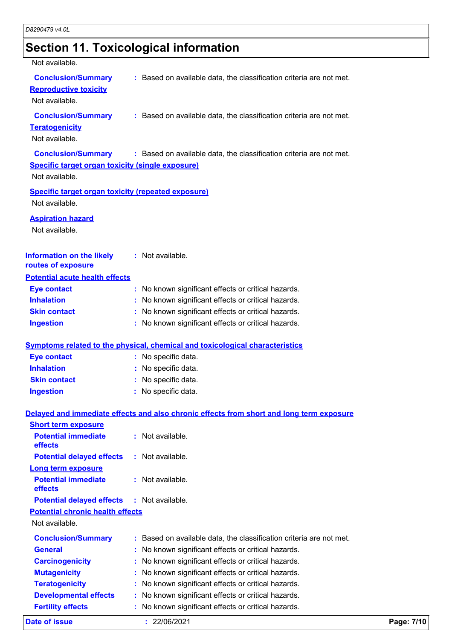### **Section 11. Toxicological information**

#### Not available. **Conclusion/Summary :** Based on available data, the classification criteria are not met. Not available. **Conclusion/Summary :** Based on available data, the classification criteria are not met. **Teratogenicity** Not available. **Conclusion/Summary :** Based on available data, the classification criteria are not met. **Reproductive toxicity Conclusion/Summary :** Based on available data, the classification criteria are not met. Not available. **Information on the likely routes of exposure Inhalation :** No known significant effects or critical hazards. **Ingestion :** No known significant effects or critical hazards. **Skin contact :** No known significant effects or critical hazards. **Eve contact :** No known significant effects or critical hazards. **General :** No known significant effects or critical hazards. **Carcinogenicity** : No known significant effects or critical hazards. **Mutagenicity :** No known significant effects or critical hazards. **Teratogenicity :** No known significant effects or critical hazards. **Developmental effects :** No known significant effects or critical hazards. **Symptoms related to the physical, chemical and toxicological characteristics Skin contact Ingestion Inhalation :** No specific data. No specific data. **:** No specific data. **: Eye contact :** No specific data. **Potential chronic health effects Delayed and immediate effects and also chronic effects from short and long term exposure Specific target organ toxicity (single exposure) Specific target organ toxicity (repeated exposure)** Not available. Not available. **Aspiration hazard** Not available. **:** Not available. **Potential acute health effects Potential immediate effects :** Not available. **Short term exposure Potential delayed effects :** Not available. **Potential immediate effects :** Not available. **Long term exposure Potential delayed effects :** Not available.

**Fertility effects :** No known significant effects or critical hazards.

**Date of issue :** 22/06/2021 **Page: 7/10**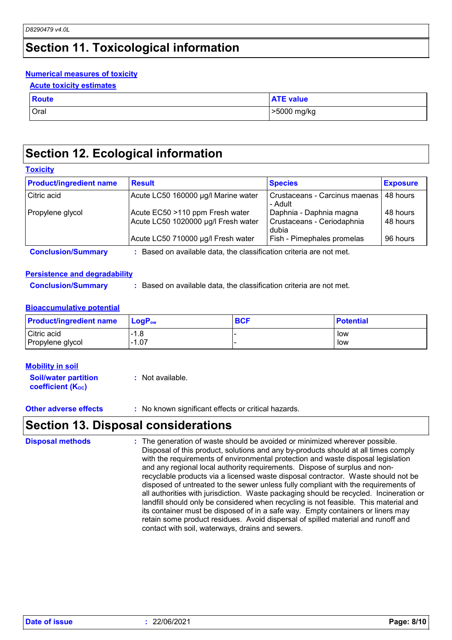**Toxicity**

### **Section 11. Toxicological information**

#### **Numerical measures of toxicity**

|  | <b>Acute toxicity estimates</b> |  |
|--|---------------------------------|--|
|  |                                 |  |

| <b>Route</b> | <b>ATE value</b> |
|--------------|------------------|
| Oral         | >5000 mg/kg      |

#### **Section 12. Ecological information**

| <b>Product/ingredient name</b> | <b>Result</b>                                                          | <b>Species</b>                                                 | <b>Exposure</b>      |
|--------------------------------|------------------------------------------------------------------------|----------------------------------------------------------------|----------------------|
| Citric acid                    | Acute LC50 160000 µg/l Marine water                                    | Crustaceans - Carcinus maenas<br>- Adult                       | 48 hours             |
| Propylene glycol               | Acute EC50 >110 ppm Fresh water<br>Acute LC50 1020000 µg/l Fresh water | Daphnia - Daphnia magna<br>Crustaceans - Ceriodaphnia<br>dubia | 48 hours<br>48 hours |
|                                | Acute LC50 710000 µg/l Fresh water                                     | Fish - Pimephales promelas                                     | 96 hours             |
| <b>Conclusion/Summary</b>      | Based on available data, the classification criteria are not met.      |                                                                |                      |

#### **Persistence and degradability**

**Conclusion/Summary :** Based on available data, the classification criteria are not met.

#### **Bioaccumulative potential**

| <b>Product/ingredient name</b> | <b>LogP</b> <sub>ow</sub> | <b>BCF</b> | <b>Potential</b> |
|--------------------------------|---------------------------|------------|------------------|
| Citric acid                    | ·1.8                      |            | low              |
| Propylene glycol               | $-1.07$                   |            | low              |

| <b>Mobility in soil</b>                                 |                  |
|---------------------------------------------------------|------------------|
| <b>Soil/water partition</b><br><b>coefficient (Koc)</b> | : Not available. |

**Other adverse effects** : No known significant effects or critical hazards.

#### **Section 13. Disposal considerations**

: The generation of waste should be avoided or minimized wherever possible. Disposal of this product, solutions and any by-products should at all times comply with the requirements of environmental protection and waste disposal legislation and any regional local authority requirements. Dispose of surplus and nonrecyclable products via a licensed waste disposal contractor. Waste should not be disposed of untreated to the sewer unless fully compliant with the requirements of all authorities with jurisdiction. Waste packaging should be recycled. Incineration or landfill should only be considered when recycling is not feasible. This material and its container must be disposed of in a safe way. Empty containers or liners may retain some product residues. Avoid dispersal of spilled material and runoff and contact with soil, waterways, drains and sewers. **Disposal methods :**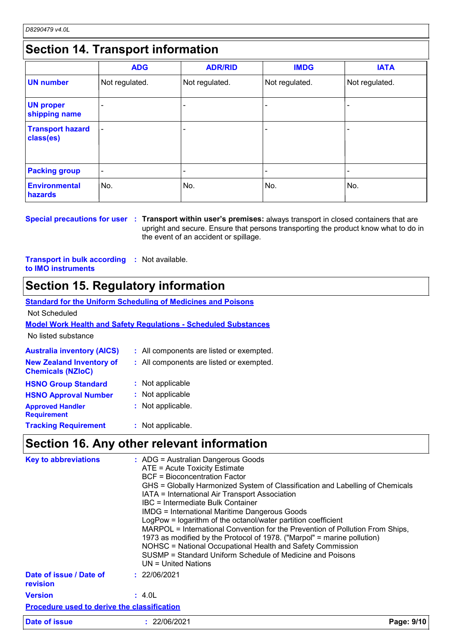### **Section 14. Transport information**

|                                      | <b>ADG</b>     | <b>ADR/RID</b> | <b>IMDG</b>    | <b>IATA</b>    |
|--------------------------------------|----------------|----------------|----------------|----------------|
| <b>UN number</b>                     | Not regulated. | Not regulated. | Not regulated. | Not regulated. |
| <b>UN proper</b><br>shipping name    |                |                |                |                |
| <b>Transport hazard</b><br>class(es) | ٠              |                |                |                |
| <b>Packing group</b>                 | ٠              |                |                |                |
| <b>Environmental</b><br>hazards      | No.            | No.            | No.            | No.            |

**Special precautions for user** : Transport within user's premises: always transport in closed containers that are upright and secure. Ensure that persons transporting the product know what to do in the event of an accident or spillage.

**Transport in bulk according :** Not available. **to IMO instruments**

### **Section 15. Regulatory information**

| <b>Standard for the Uniform Scheduling of Medicines and Poisons</b>    |                                          |  |  |  |
|------------------------------------------------------------------------|------------------------------------------|--|--|--|
| Not Scheduled                                                          |                                          |  |  |  |
| <b>Model Work Health and Safety Regulations - Scheduled Substances</b> |                                          |  |  |  |
| No listed substance                                                    |                                          |  |  |  |
| <b>Australia inventory (AICS)</b>                                      | : All components are listed or exempted. |  |  |  |
| <b>New Zealand Inventory of</b><br><b>Chemicals (NZIoC)</b>            | : All components are listed or exempted. |  |  |  |
| <b>HSNO Group Standard</b>                                             | : Not applicable                         |  |  |  |
| <b>HSNO Approval Number</b>                                            | : Not applicable                         |  |  |  |
| <b>Approved Handler</b><br><b>Requirement</b>                          | : Not applicable.                        |  |  |  |

#### **Tracking Requirement :** : Not applicable.

#### **Section 16. Any other relevant information**

| <b>Key to abbreviations</b>                        | : ADG = Australian Dangerous Goods<br>ATE = Acute Toxicity Estimate<br><b>BCF</b> = Bioconcentration Factor<br>GHS = Globally Harmonized System of Classification and Labelling of Chemicals<br>IATA = International Air Transport Association<br>IBC = Intermediate Bulk Container<br><b>IMDG = International Maritime Dangerous Goods</b><br>LogPow = logarithm of the octanol/water partition coefficient<br>MARPOL = International Convention for the Prevention of Pollution From Ships,<br>1973 as modified by the Protocol of 1978. ("Marpol" = marine pollution)<br>NOHSC = National Occupational Health and Safety Commission<br>SUSMP = Standard Uniform Schedule of Medicine and Poisons<br>UN = United Nations |  |
|----------------------------------------------------|----------------------------------------------------------------------------------------------------------------------------------------------------------------------------------------------------------------------------------------------------------------------------------------------------------------------------------------------------------------------------------------------------------------------------------------------------------------------------------------------------------------------------------------------------------------------------------------------------------------------------------------------------------------------------------------------------------------------------|--|
| Date of issue / Date of<br><b>revision</b>         | : 22/06/2021                                                                                                                                                                                                                                                                                                                                                                                                                                                                                                                                                                                                                                                                                                               |  |
| <b>Version</b>                                     | : 4.0L                                                                                                                                                                                                                                                                                                                                                                                                                                                                                                                                                                                                                                                                                                                     |  |
| <b>Procedure used to derive the classification</b> |                                                                                                                                                                                                                                                                                                                                                                                                                                                                                                                                                                                                                                                                                                                            |  |
| Date of issue                                      | : 22/06/2021<br>Page: 9/10                                                                                                                                                                                                                                                                                                                                                                                                                                                                                                                                                                                                                                                                                                 |  |